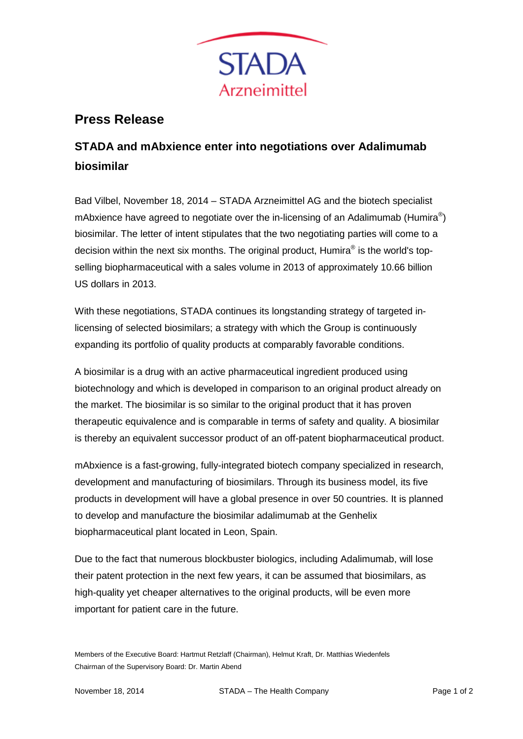

## **Press Release**

## **STADA and mAbxience enter into negotiations over Adalimumab biosimilar**

Bad Vilbel, November 18, 2014 – STADA Arzneimittel AG and the biotech specialist mAbxience have agreed to negotiate over the in-licensing of an Adalimumab (Humira<sup>®</sup>) biosimilar. The letter of intent stipulates that the two negotiating parties will come to a decision within the next six months. The original product,  $H$ umira<sup>®</sup> is the world's topselling biopharmaceutical with a sales volume in 2013 of approximately 10.66 billion US dollars in 2013.

With these negotiations, STADA continues its longstanding strategy of targeted inlicensing of selected biosimilars; a strategy with which the Group is continuously expanding its portfolio of quality products at comparably favorable conditions.

A biosimilar is a drug with an active pharmaceutical ingredient produced using biotechnology and which is developed in comparison to an original product already on the market. The biosimilar is so similar to the original product that it has proven therapeutic equivalence and is comparable in terms of safety and quality. A biosimilar is thereby an equivalent successor product of an off-patent biopharmaceutical product.

mAbxience is a fast-growing, fully-integrated biotech company specialized in research, development and manufacturing of biosimilars. Through its business model, its five products in development will have a global presence in over 50 countries. It is planned to develop and manufacture the biosimilar adalimumab at the Genhelix biopharmaceutical plant located in Leon, Spain.

Due to the fact that numerous blockbuster biologics, including Adalimumab, will lose their patent protection in the next few years, it can be assumed that biosimilars, as high-quality yet cheaper alternatives to the original products, will be even more important for patient care in the future.

Members of the Executive Board: Hartmut Retzlaff (Chairman), Helmut Kraft, Dr. Matthias Wiedenfels Chairman of the Supervisory Board: Dr. Martin Abend